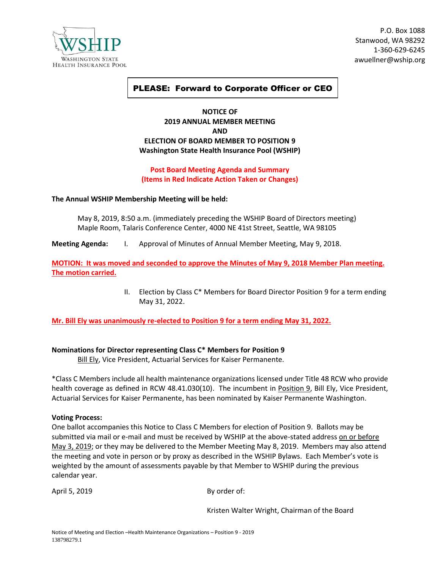

P.O. Box 1088 Stanwood, WA 98292 1-360-629-6245 awuellner@wship.org

# PLEASE: Forward to Corporate Officer or CEO

## **NOTICE OF 2019 ANNUAL MEMBER MEETING AND ELECTION OF BOARD MEMBER TO POSITION 9 Washington State Health Insurance Pool (WSHIP)**

## **Post Board Meeting Agenda and Summary (Items in Red Indicate Action Taken or Changes)**

### **The Annual WSHIP Membership Meeting will be held:**

May 8, 2019, 8:50 a.m. (immediately preceding the WSHIP Board of Directors meeting) Maple Room, Talaris Conference Center, 4000 NE 41st Street, Seattle, WA 98105

**Meeting Agenda:** I. Approval of Minutes of Annual Member Meeting, May 9, 2018.

**MOTION: It was moved and seconded to approve the Minutes of May 9, 2018 Member Plan meeting. The motion carried.**

> II. Election by Class C\* Members for Board Director Position 9 for a term ending May 31, 2022.

**Mr. Bill Ely was unanimously re-elected to Position 9 for a term ending May 31, 2022.**

### **Nominations for Director representing Class C\* Members for Position 9**

**Bill Ely, Vice President, Actuarial Services for Kaiser Permanente.** 

\*Class C Members include all health maintenance organizations licensed under Title 48 RCW who provide health coverage as defined in RCW 48.41.030(10). The incumbent in Position 9, Bill Ely, Vice President, Actuarial Services for Kaiser Permanente, has been nominated by Kaiser Permanente Washington.

#### **Voting Process:**

One ballot accompanies this Notice to Class C Members for election of Position 9. Ballots may be submitted via mail or e-mail and must be received by WSHIP at the above-stated address on or before May 3, 2019; or they may be delivered to the Member Meeting May 8, 2019. Members may also attend the meeting and vote in person or by proxy as described in the WSHIP Bylaws. Each Member's vote is weighted by the amount of assessments payable by that Member to WSHIP during the previous calendar year.

April 5, 2019 By order of:

Kristen Walter Wright, Chairman of the Board